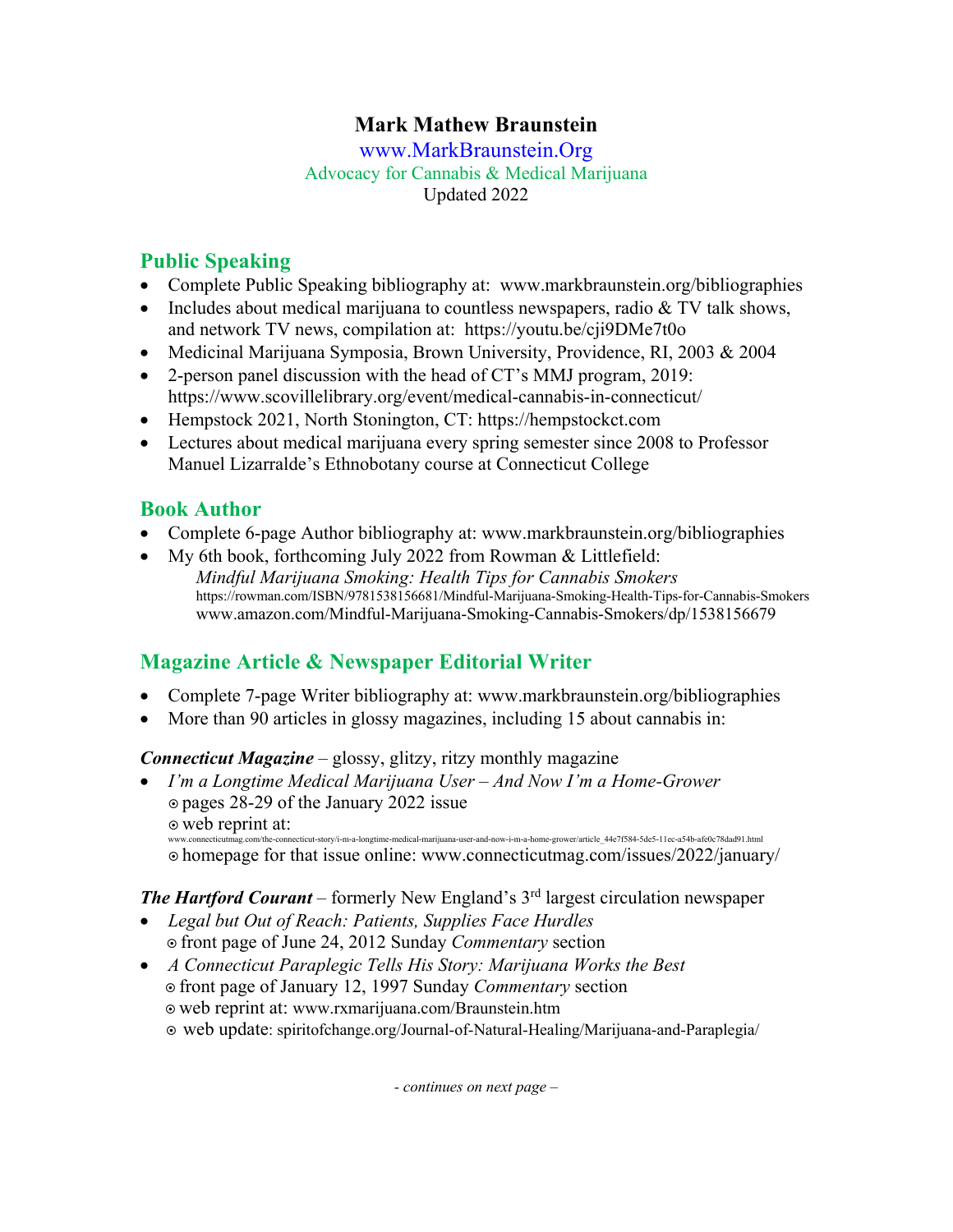## **Mark Mathew Braunstein**

www.MarkBraunstein.Org Advocacy for Cannabis & Medical Marijuana Updated 2022

### **Public Speaking**

- Complete Public Speaking bibliography at: www.markbraunstein.org/bibliographies
- Includes about medical marijuana to countless newspapers, radio & TV talk shows, and network TV news, compilation at: https://youtu.be/cji9DMe7t0o
- Medicinal Marijuana Symposia, Brown University, Providence, RI, 2003 & 2004
- 2-person panel discussion with the head of CT's MMJ program, 2019: https://www.scovillelibrary.org/event/medical-cannabis-in-connecticut/
- Hempstock 2021, North Stonington, CT: https://hempstockct.com
- Lectures about medical marijuana every spring semester since 2008 to Professor Manuel Lizarralde's Ethnobotany course at Connecticut College

### **Book Author**

- Complete 6-page Author bibliography at: www.markbraunstein.org/bibliographies
- My 6th book, forthcoming July 2022 from Rowman & Littlefield: *Mindful Marijuana Smoking: Health Tips for Cannabis Smokers*  https://rowman.com/ISBN/9781538156681/Mindful-Marijuana-Smoking-Health-Tips-for-Cannabis-Smokers www.amazon.com/Mindful-Marijuana-Smoking-Cannabis-Smokers/dp/1538156679

# **Magazine Article & Newspaper Editorial Writer**

- Complete 7-page Writer bibliography at: www.markbraunstein.org/bibliographies
- More than 90 articles in glossy magazines, including 15 about cannabis in:

#### *Connecticut Magazine* – glossy, glitzy, ritzy monthly magazine

• *I'm a Longtime Medical Marijuana User – And Now I'm a Home-Grower* ¤ pages 28-29 of the January 2022 issue  $\circ$  web reprint at:

--<br>nnecticut-story/i-m-a-longtime-medical-marijuana-user-and-now-i-m-a-home-grower/article\_44e7f584-5de5-11ec-a54b-afe0c78dad91.html

¤ homepage for that issue online: www.connecticutmag.com/issues/2022/january/

### **The Hartford Courant** – formerly New England's 3<sup>rd</sup> largest circulation newspaper

- *Legal but Out of Reach: Patients, Supplies Face Hurdles* ¤ front page of June 24, 2012 Sunday *Commentary* section
- *A Connecticut Paraplegic Tells His Story: Marijuana Works the Best* ¤ front page of January 12, 1997 Sunday *Commentary* section ¤ web reprint at: www.rxmarijuana.com/Braunstein.htm ¤ web update: spiritofchange.org/Journal-of-Natural-Healing/Marijuana-and-Paraplegia/

*- continues on next page –*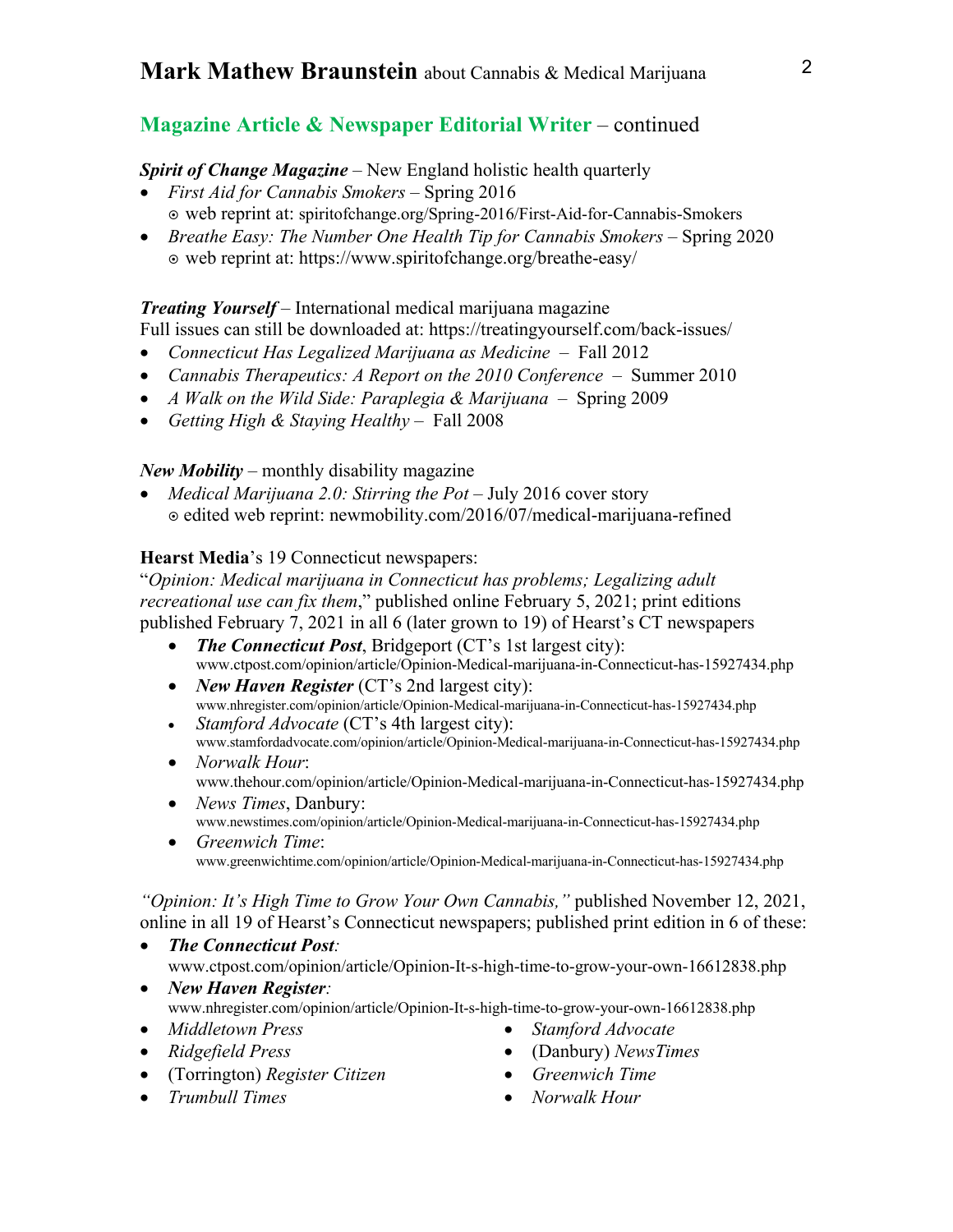### **Magazine Article & Newspaper Editorial Writer** – continued

#### *Spirit of Change Magazine* – New England holistic health quarterly

- *First Aid for Cannabis Smokers*  Spring 2016 ¤ web reprint at: spiritofchange.org/Spring-2016/First-Aid-for-Cannabis-Smokers
- *Breathe Easy: The Number One Health Tip for Cannabis Smokers* Spring 2020 ¤ web reprint at: https://www.spiritofchange.org/breathe-easy/

### *Treating Yourself* – International medical marijuana magazine

- Full issues can still be downloaded at: https://treatingyourself.com/back-issues/
- *Connecticut Has Legalized Marijuana as Medicine*  Fall 2012
- *Cannabis Therapeutics: A Report on the 2010 Conference Summer 2010*
- *A Walk on the Wild Side: Paraplegia & Marijuana* Spring 2009
- *Getting High & Staying Healthy*  Fall 2008

#### *New Mobility* – monthly disability magazine

• *Medical Marijuana 2.0: Stirring the Pot* – July 2016 cover story ¤ edited web reprint: newmobility.com/2016/07/medical-marijuana-refined

#### **Hearst Media**'s 19 Connecticut newspapers:

"*Opinion: Medical marijuana in Connecticut has problems; Legalizing adult recreational use can fix them*," published online February 5, 2021; print editions published February 7, 2021 in all 6 (later grown to 19) of Hearst's CT newspapers

- *The Connecticut Post*, Bridgeport (CT's 1st largest city): www.ctpost.com/opinion/article/Opinion-Medical-marijuana-in-Connecticut-has-15927434.php
- *New Haven Register* (CT's 2nd largest city): www.nhregister.com/opinion/article/Opinion-Medical-marijuana-in-Connecticut-has-15927434.php
- *Stamford Advocate* (CT's 4th largest city): www.stamfordadvocate.com/opinion/article/Opinion-Medical-marijuana-in-Connecticut-has-15927434.php
- *Norwalk Hour*: www.thehour.com/opinion/article/Opinion-Medical-marijuana-in-Connecticut-has-15927434.php
- *News Times*, Danbury: www.newstimes.com/opinion/article/Opinion-Medical-marijuana-in-Connecticut-has-15927434.php
- *Greenwich Time*: www.greenwichtime.com/opinion/article/Opinion-Medical-marijuana-in-Connecticut-has-15927434.php

*"Opinion: It's High Time to Grow Your Own Cannabis,"* published November 12, 2021, online in all 19 of Hearst's Connecticut newspapers; published print edition in 6 of these:

- *The Connecticut Post:*  www.ctpost.com/opinion/article/Opinion-It-s-high-time-to-grow-your-own-16612838.php
- *New Haven Register:*  www.nhregister.com/opinion/article/Opinion-It-s-high-time-to-grow-your-own-16612838.php
- *Middletown Press*
- *Ridgefield Press*
- (Torrington) *Register Citizen*
- *Trumbull Times*
- *Stamford Advocate*
- (Danbury) *NewsTimes*
- *Greenwich Time*
- *Norwalk Hour*